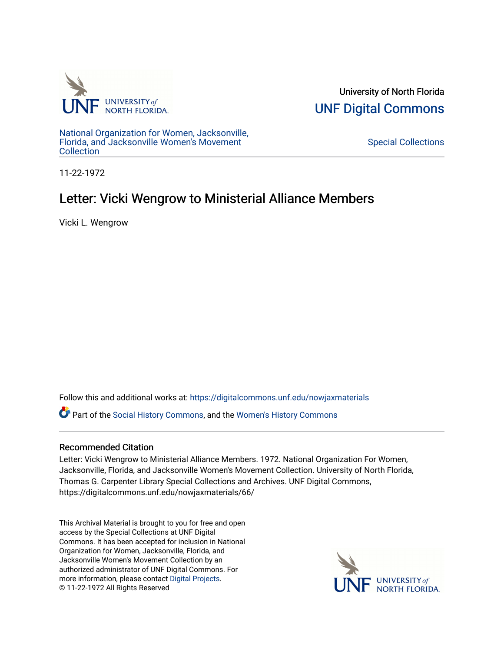

University of North Florida [UNF Digital Commons](https://digitalcommons.unf.edu/) 

[National Organization for Women, Jacksonville,](https://digitalcommons.unf.edu/nowjaxmaterials) [Florida, and Jacksonville Women's Movement](https://digitalcommons.unf.edu/nowjaxmaterials) **Collection** 

[Special Collections](https://digitalcommons.unf.edu/special_collections) 

11-22-1972

## Letter: Vicki Wengrow to Ministerial Alliance Members

Vicki L. Wengrow

Follow this and additional works at: [https://digitalcommons.unf.edu/nowjaxmaterials](https://digitalcommons.unf.edu/nowjaxmaterials?utm_source=digitalcommons.unf.edu%2Fnowjaxmaterials%2F66&utm_medium=PDF&utm_campaign=PDFCoverPages) 

Part of the [Social History Commons](http://network.bepress.com/hgg/discipline/506?utm_source=digitalcommons.unf.edu%2Fnowjaxmaterials%2F66&utm_medium=PDF&utm_campaign=PDFCoverPages), and the [Women's History Commons](http://network.bepress.com/hgg/discipline/507?utm_source=digitalcommons.unf.edu%2Fnowjaxmaterials%2F66&utm_medium=PDF&utm_campaign=PDFCoverPages)

## Recommended Citation

Letter: Vicki Wengrow to Ministerial Alliance Members. 1972. National Organization For Women, Jacksonville, Florida, and Jacksonville Women's Movement Collection. University of North Florida, Thomas G. Carpenter Library Special Collections and Archives. UNF Digital Commons, https://digitalcommons.unf.edu/nowjaxmaterials/66/

This Archival Material is brought to you for free and open access by the Special Collections at UNF Digital Commons. It has been accepted for inclusion in National Organization for Women, Jacksonville, Florida, and Jacksonville Women's Movement Collection by an authorized administrator of UNF Digital Commons. For more information, please contact [Digital Projects](mailto:lib-digital@unf.edu). © 11-22-1972 All Rights Reserved

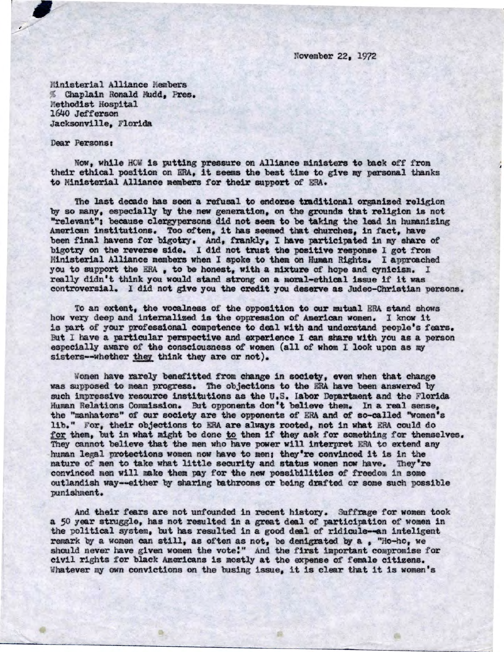November 22, 1972

Ministerial Alliance Members Chaplain Ronald Mudd, Pres. Methodist Hospital 1640 Jefferson Jacksonville, Florida

## Dear Persons:

Now, while HOW is putting pressure on Alliance ministers to back off from their ethical position on ERA, **it seemsthe best time**to **give my**personal thanks to Ministerial Alliance members for their support of ERA.

The last decade has seen a refusal to endorse traditional organized religion by so many, especially by the new generation, on the grounds that religion is not "relevant": because clergypersons did not seem to be taking the lead in humanizing American institutions. Too often, it has seemed that churches, in fact, have been final havens for bigotry. And, frankly, I have participated in my share of bigotry on the reverse side. I did not trust the positive response I got from Ministerial Alliance members when I spoke to them on Human Rights. I approached you to support the ERA, to be honest, with a mixture of hope and cynicism. I really didn't think you would stand strong on a moral-ethical issue if it was controversial. I did not give you the credit you deserve as Judeo-Christian persons.

To an extent, the vocalness of the opposition to our mutual ERA stand shows how very deep and internalized is the oppression of American women. I know it is part of your professional competence to deal with and understand people's fears. But I have a particular perspective and experience I can share with you as a person especially aware of the consciousness of women (all of whom I look upon as my sisters--whether they think they are or not).

Women have rarely benefitted from change in society, even when that change was supposed to mean progress. The objections to the ERA have been answered by such impressive resource institutions as the U.S. **labor Department** and the Florida Human Relations Commission. But opponents don't believe them. In **a** real sense, the "manhaters" of our society are the opponents of ERA **and** of so-called "women's for them, but in what might be done to them if they ask for something for themselves. They cannot believe that the men who have power will interpret ERA to extend any human legal protections women now **have** to men: they're convinced it is in the nature of men to take what little security and status women now have. They're convinced men will make them pay for the new possibilities of freedom in some outlandish way--either by sharing bathrooms or being drafted or some such possible punishment.

And their fears are not unfounded in recent history. Suffrage for women took a 50 year struggle, has not resulted in a great dealof participation of women in the political system, but has resulted in a good deal of ridicule--an inteligent remark by a women can still, as often as not, be denigrated by a, "Ho-ho, we should never have given women the vote!" And the first important compromise for civil rights for black Americans is mostly at the expense of female citizens. Whatever my own convictions on the busing issue, it is clear that it is women's